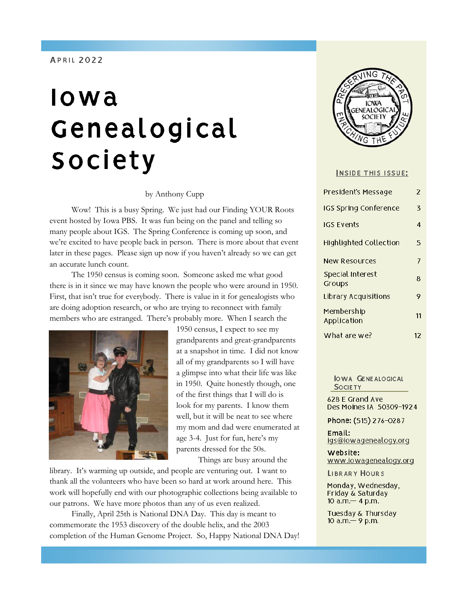#### **APRIL 2022**

# lowa Genealogical Society

#### by Anthony Cupp

Wow! This is a busy Spring. We just had our Finding YOUR Roots event hosted by Iowa PBS. It was fun being on the panel and telling so many people about IGS. The Spring Conference is coming up soon, and we're excited to have people back in person. There is more about that event later in these pages. Please sign up now if you haven't already so we can get an accurate lunch count.

The 1950 census is coming soon. Someone asked me what good there is in it since we may have known the people who were around in 1950. First, that isn't true for everybody. There is value in it for genealogists who are doing adoption research, or who are trying to reconnect with family members who are estranged. There's probably more. When I search the



1950 census, I expect to see my grandparents and great-grandparents at a snapshot in time. I did not know all of my grandparents so I will have a glimpse into what their life was like in 1950. Quite honestly though, one of the first things that I will do is look for my parents. I know them well, but it will be neat to see where my mom and dad were enumerated at age 3-4. Just for fun, here's my parents dressed for the 50s.

Things are busy around the

library. It's warming up outside, and people are venturing out. I want to thank all the volunteers who have been so hard at work around here. This work will hopefully end with our photographic collections being available to our patrons. We have more photos than any of us even realized.

Finally, April 25th is National DNA Day. This day is meant to commemorate the 1953 discovery of the double helix, and the 2003 completion of the Human Genome Project. So, Happy National DNA Day!



#### INSIDE THIS ISSUE:

| President's Message        | 2  |
|----------------------------|----|
| IGS Spring Conference      | 3  |
| IGS Events                 | 4  |
| Highlighted Collection     | 5  |
| New Resources              | 7  |
| Special Interest<br>Groups | 8  |
| Library Acquisitions       | 9  |
| Membership<br>Application  | 11 |
| What are we?               | 12 |

**IOWA GENEALOGICAL** SOCIETY

628 E Grand Ave Des Moines IA 50309-1924

Phone: (515) 276-0287

Email: <u>igs@iowagenealogy.org</u>

website: www.lowagenealogy.org

LIBRARY HOURS

Monday, Wednesday, Friday & Saturday 10  $a.m - 4 p.m.$ 

Tuesday & Thursday 10 a.m.-9 p.m.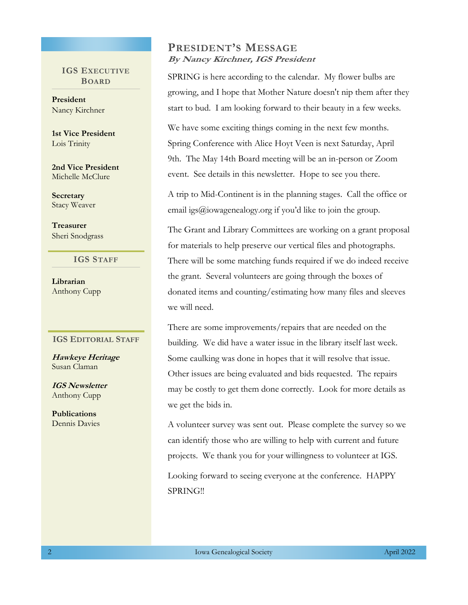$\overline{\mathbf{G}}$ BOARD **IGS EXECUTIVE**

**President** Nancy Kirchner

**1st Vice President** Lois Trinity and Lois Library and Lois Library and Library and Library and Library and Library and Library and

**2nd Vice President** Michelle McClure

**Secretary** Stacy Weaver

asurer<br>Saturday & Saturday & Saturday & Saturday & Saturday & Saturday & Saturday & Saturday & Saturday & Saturday & Sheri Snodgrass **Treasurer**

> $\blacksquare$  **IGS STAFF** 9 a.m. - 9 p.m.

**Librarian** Anthony Cupp

#### **IGS EDITORIAL STAFF**

**Hawkeye Heritage** Susan Claman

**IGS Newsletter** Anthony Cupp

**Publications** Dennis Davies

## **PRESIDENT'S MESSAGE** By Nancy Kirchner, IGS President

SPRING is here according to the calendar. My flower bulbs are growing, and I hope that Mother Nature doesn't nip them after they start to bud. I am looking forward to their beauty in a few weeks.

We have some exciting things coming in the next few months. Spring Conference with Alice Hoyt Veen is next Saturday, April 9th. The May 14th Board meeting will be an in-person or Zoom event. See details in this newsletter. Hope to see you there.

A trip to Mid-Continent is in the planning stages. Call the office or email igs@iowagenealogy.org if you'd like to join the group.

The Grant and Library Committees are working on a grant proposal for materials to help preserve our vertical files and photographs. There will be some matching funds required if we do indeed receive the grant. Several volunteers are going through the boxes of donated items and counting/estimating how many files and sleeves we will need.

There are some improvements/repairs that are needed on the building. We did have a water issue in the library itself last week. Some caulking was done in hopes that it will resolve that issue. Other issues are being evaluated and bids requested. The repairs may be costly to get them done correctly. Look for more details as we get the bids in.

A volunteer survey was sent out. Please complete the survey so we can identify those who are willing to help with current and future projects. We thank you for your willingness to volunteer at IGS. Looking forward to seeing everyone at the conference. HAPPY

SPRING!!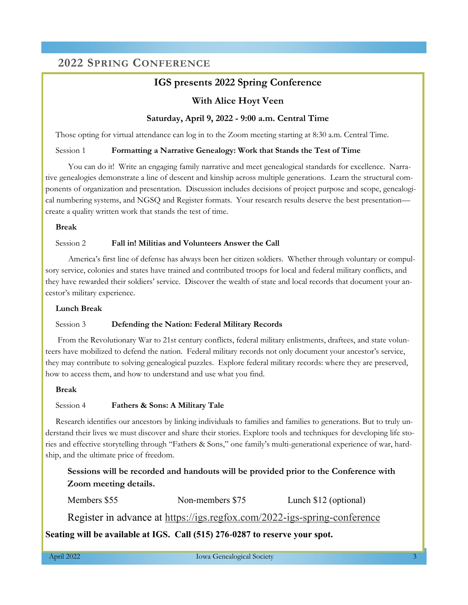## **2022 SPRING CONFERENCE**

## **IGS presents 2022 Spring Conference**

## **With Alice Hoyt Veen**

### **Saturday, April 9, 2022 - 9:00 a.m. Central Time**

Those opting for virtual attendance can log in to the Zoom meeting starting at 8:30 a.m. Central Time.

#### Session 1 **Formatting a Narrative Genealogy: Work that Stands the Test of Time**

 You can do it! Write an engaging family narrative and meet genealogical standards for excellence. Narrative genealogies demonstrate a line of descent and kinship across multiple generations. Learn the structural components of organization and presentation. Discussion includes decisions of project purpose and scope, genealogical numbering systems, and NGSQ and Register formats. Your research results deserve the best presentation create a quality written work that stands the test of time.

#### **Break**

#### Session 2 **Fall in! Militias and Volunteers Answer the Call**

 America's first line of defense has always been her citizen soldiers. Whether through voluntary or compulsory service, colonies and states have trained and contributed troops for local and federal military conflicts, and they have rewarded their soldiers' service. Discover the wealth of state and local records that document your ancestor's military experience.

#### **Lunch Break**

#### Session 3 **Defending the Nation: Federal Military Records**

From the Revolutionary War to 21st century conflicts, federal military enlistments, draftees, and state volunteers have mobilized to defend the nation. Federal military records not only document your ancestor's service, they may contribute to solving genealogical puzzles. Explore federal military records: where they are preserved, how to access them, and how to understand and use what you find.

#### **Break**

#### Session 4 **Fathers & Sons: A Military Tale**

Research identifies our ancestors by linking individuals to families and families to generations. But to truly understand their lives we must discover and share their stories. Explore tools and techniques for developing life stories and effective storytelling through "Fathers & Sons," one family's multi-generational experience of war, hardship, and the ultimate price of freedom.

**Sessions will be recorded and handouts will be provided prior to the Conference with Zoom meeting details.**

Members \$55 Non-members \$75 Lunch \$12 (optional)

Register in advance at <https://igs.regfox.com/2022-igs-spring-conference>

## **Seating will be available at IGS. Call (515) 276-0287 to reserve your spot.**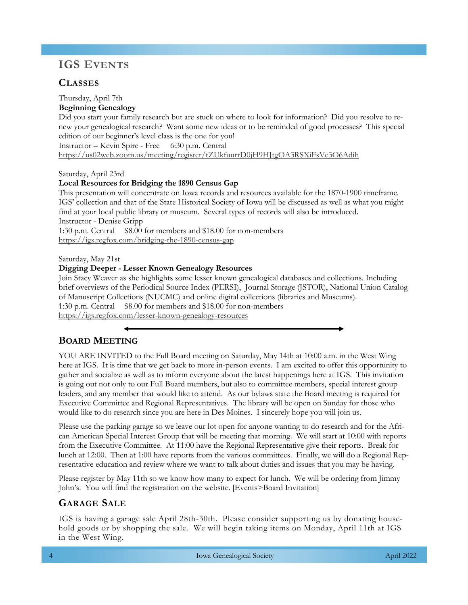## **IGS EVENTS**

## **CLASSES**

Thursday, April 7th

## **Beginning Genealogy**

Did you start your family research but are stuck on where to look for information? Did you resolve to renew your genealogical research? Want some new ideas or to be reminded of good processes? This special edition of our beginner's level class is the one for you!

Instructor – Kevin Spire - Free 6:30 p.m. Central <https://us02web.zoom.us/meeting/register/tZUkfuurrD0jH9HJtgOA3RSXiFsVe3O6Adih>

Saturday, April 23rd

## **Local Resources for Bridging the 1890 Census Gap**

This presentation will concentrate on Iowa records and resources available for the 1870-1900 timeframe. IGS' collection and that of the State Historical Society of Iowa will be discussed as well as what you might find at your local public library or museum. Several types of records will also be introduced. Instructor - Denise Gripp 1:30 p.m. Central \$8.00 for members and \$18.00 for non-members <https://igs.regfox.com/bridging-the-1890-census-gap>

Saturday, May 21st

## **Digging Deeper - Lesser Known Genealogy Resources**

Join Stacy Weaver as she highlights some lesser known genealogical databases and collections. Including brief overviews of the Periodical Source Index (PERSI), Journal Storage (JSTOR), National Union Catalog of Manuscript Collections (NUCMC) and online digital collections (libraries and Museums). 1:30 p.m. Central \$8.00 for members and \$18.00 for non-members

<https://igs.regfox.com/lesser-known-genealogy-resources>

## **BOARD MEETING**

YOU ARE INVITED to the Full Board meeting on Saturday, May 14th at 10:00 a.m. in the West Wing here at IGS. It is time that we get back to more in-person events. I am excited to offer this opportunity to gather and socialize as well as to inform everyone about the latest happenings here at IGS. This invitation is going out not only to our Full Board members, but also to committee members, special interest group leaders, and any member that would like to attend. As our bylaws state the Board meeting is required for Executive Committee and Regional Representatives. The library will be open on Sunday for those who would like to do research since you are here in Des Moines. I sincerely hope you will join us.

Please use the parking garage so we leave our lot open for anyone wanting to do research and for the African American Special Interest Group that will be meeting that morning. We will start at 10:00 with reports from the Executive Committee. At 11:00 have the Regional Representative give their reports. Break for lunch at 12:00. Then at 1:00 have reports from the various committees. Finally, we will do a Regional Representative education and review where we want to talk about duties and issues that you may be having.

Please register by May 11th so we know how many to expect for lunch. We will be ordering from Jimmy John's. You will find the registration on the website. [Events>Board Invitation]

## **GARAGE SALE**

IGS is having a garage sale April 28th-30th. Please consider supporting us by donating household goods or by shopping the sale. We will begin taking items on Monday, April 11th at IGS in the West Wing.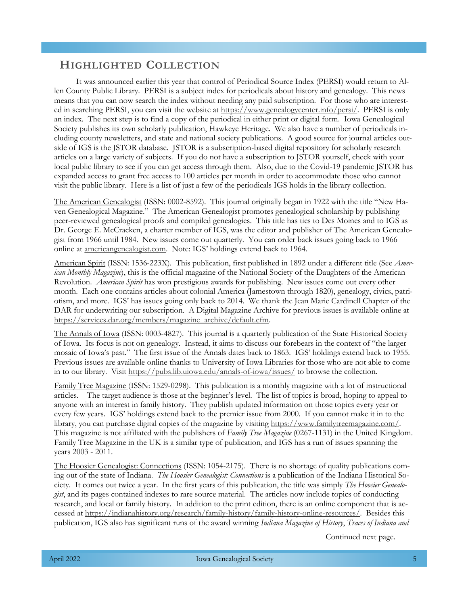## **HIGHLIGHTED COLLECTION**

It was announced earlier this year that control of Periodical Source Index (PERSI) would return to Allen County Public Library. PERSI is a subject index for periodicals about history and genealogy. This news means that you can now search the index without needing any paid subscription. For those who are interested in searching PERSI, you can visit the website at [https://www.genealogycenter.info/persi/.](https://www.genealogycenter.info/persi/) PERSI is only an index. The next step is to find a copy of the periodical in either print or digital form. Iowa Genealogical Society publishes its own scholarly publication, Hawkeye Heritage. We also have a number of periodicals including county newsletters, and state and national society publications. A good source for journal articles outside of IGS is the JSTOR database. JSTOR is a subscription-based digital repository for scholarly research articles on a large variety of subjects. If you do not have a subscription to JSTOR yourself, check with your local public library to see if you can get access through them. Also, due to the Covid-19 pandemic JSTOR has expanded access to grant free access to 100 articles per month in order to accommodate those who cannot visit the public library. Here is a list of just a few of the periodicals IGS holds in the library collection.

The American Genealogist (ISSN: 0002-8592). This journal originally began in 1922 with the title "New Haven Genealogical Magazine." The American Genealogist promotes genealogical scholarship by publishing peer-reviewed genealogical proofs and compiled genealogies. This title has ties to Des Moines and to IGS as Dr. George E. McCracken, a charter member of IGS, was the editor and publisher of The American Genealogist from 1966 until 1984. New issues come out quarterly. You can order back issues going back to 1966 online at [americangenealogist.com](https://americangenealogist.com/shop/order-back-issues/). Note: IGS' holdings extend back to 1964.

American Spirit (ISSN: 1536-223X). This publication, first published in 1892 under a different title (See *American Monthly Magazine*), this is the official magazine of the National Society of the Daughters of the American Revolution. *American Spirit* has won prestigious awards for publishing. New issues come out every other month. Each one contains articles about colonial America (Jamestown through 1820), genealogy, civics, patriotism, and more. IGS' has issues going only back to 2014. We thank the Jean Marie Cardinell Chapter of the DAR for underwriting our subscription. A Digital Magazine Archive for previous issues is available online at [https://services.dar.org/members/magazine\\_archive/default.cfm.](https://services.dar.org/members/magazine_archive/default.cfm)

The Annals of Iowa (ISSN: 0003-4827). This journal is a quarterly publication of the State Historical Society of Iowa. Its focus is not on genealogy. Instead, it aims to discuss our forebears in the context of "the larger mosaic of Iowa's past." The first issue of the Annals dates back to 1863. IGS' holdings extend back to 1955. Previous issues are available online thanks to University of Iowa Libraries for those who are not able to come in to our library. Visit<https://pubs.lib.uiowa.edu/annals-of-iowa/issues/> to browse the collection.

Family Tree Magazine (ISSN: 1529-0298). This publication is a monthly magazine with a lot of instructional articles. The target audience is those at the beginner's level. The list of topics is broad, hoping to appeal to anyone with an interest in family history. They publish updated information on those topics every year or every few years. IGS' holdings extend back to the premier issue from 2000. If you cannot make it in to the library, you can purchase digital copies of the magazine by visiting https://www.familytreemagazine.com/. This magazine is not affiliated with the publishers of *Family Tree Magazine* (0267-1131) in the United Kingdom. Family Tree Magazine in the UK is a similar type of publication, and IGS has a run of issues spanning the years 2003 - 2011.

The Hoosier Genealogist: Connections (ISSN: 1054-2175). There is no shortage of quality publications coming out of the state of Indiana. *The Hoosier Genealogist: Connections* is a publication of the Indiana Historical Society. It comes out twice a year. In the first years of this publication, the title was simply *The Hoosier Genealogist*, and its pages contained indexes to rare source material. The articles now include topics of conducting research, and local or family history. In addition to the print edition, there is an online component that is accessed at [https://indianahistory.org/research/family-history/family-history-online-resources/.](https://indianahistory.org/research/family-history/family-history-online-resources/) Besides this publication, IGS also has significant runs of the award winning *Indiana Magazine of History*, *Traces of Indiana and* 

Continued next page.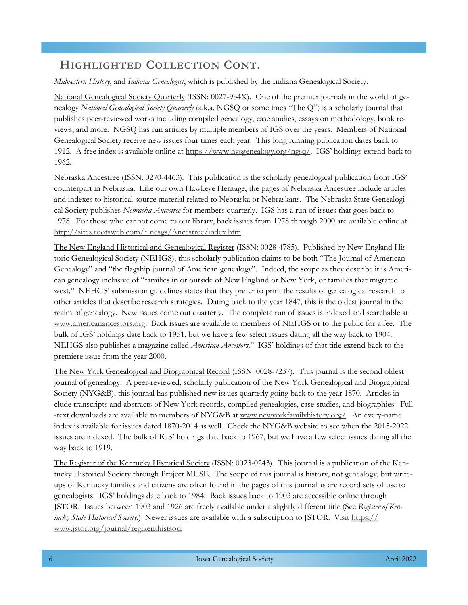## **HIGHLIGHTED COLLECTION CONT.**

*Midwestern History*, and *Indiana Genealogist*, which is published by the Indiana Genealogical Society.

National Genealogical Society Quarterly (ISSN: 0027-934X). One of the premier journals in the world of genealogy *National Genealogical Society Quarterly* (a.k.a. NGSQ or sometimes "The Q") is a scholarly journal that publishes peer-reviewed works including compiled genealogy, case studies, essays on methodology, book reviews, and more. NGSQ has run articles by multiple members of IGS over the years. Members of National Genealogical Society receive new issues four times each year. This long running publication dates back to 1912. A free index is available online at <https://www.ngsgenealogy.org/ngsq/>. IGS' holdings extend back to 1962.

Nebraska Ancestree (ISSN: 0270-4463). This publication is the scholarly genealogical publication from IGS' counterpart in Nebraska. Like our own Hawkeye Heritage, the pages of Nebraska Ancestree include articles and indexes to historical source material related to Nebraska or Nebraskans. The Nebraska State Genealogical Society publishes *Nebraska Ancestree* for members quarterly. IGS has a run of issues that goes back to 1978. For those who cannot come to our library, back issues from 1978 through 2000 are available online at <http://sites.rootsweb.com/~nesgs/Ancestree/index.htm>

The New England Historical and Genealogical Register (ISSN: 0028-4785). Published by New England Historic Genealogical Society (NEHGS), this scholarly publication claims to be both "The Journal of American Genealogy" and "the flagship journal of American genealogy". Indeed, the scope as they describe it is American genealogy inclusive of "families in or outside of New England or New York, or families that migrated west." NEHGS' submission guidelines states that they prefer to print the results of genealogical research to other articles that describe research strategies. Dating back to the year 1847, this is the oldest journal in the realm of genealogy. New issues come out quarterly. The complete run of issues is indexed and searchable at [www.americanancestors.org.](https://www.americanancestors.org/publications/register) Back issues are available to members of NEHGS or to the public for a fee. The bulk of IGS' holdings date back to 1951, but we have a few select issues dating all the way back to 1904. NEHGS also publishes a magazine called *American Ancestors*." IGS' holdings of that title extend back to the premiere issue from the year 2000.

The New York Genealogical and Biographical Record (ISSN: 0028-7237). This journal is the second oldest journal of genealogy. A peer-reviewed, scholarly publication of the New York Genealogical and Biographical Society (NYG&B), this journal has published new issues quarterly going back to the year 1870. Articles include transcripts and abstracts of New York records, compiled genealogies, case studies, and biographies. Full -text downloads are available to members of NYG&B at [www.newyorkfamilyhistory.org/.](https://www.newyorkfamilyhistory.org/online-records/collection/nygb-record) An every-name index is available for issues dated 1870-2014 as well. Check the NYG&B website to see when the 2015-2022 issues are indexed. The bulk of IGS' holdings date back to 1967, but we have a few select issues dating all the way back to 1919.

The Register of the Kentucky Historical Society (ISSN: 0023-0243). This journal is a publication of the Kentucky Historical Society through Project MUSE. The scope of this journal is history, not genealogy, but writeups of Kentucky families and citizens are often found in the pages of this journal as are record sets of use to genealogists. IGS' holdings date back to 1984. Back issues back to 1903 are accessible online through JSTOR. Issues between 1903 and 1926 are freely available under a slightly different title (See *Register of Kentucky State Historical Society*.) Newer issues are available with a subscription to JSTOR. Visit [https://](https://www.jstor.org/journal/regikenthistsoci) [www.jstor.org/journal/regikenthistsoci](https://www.jstor.org/journal/regikenthistsoci)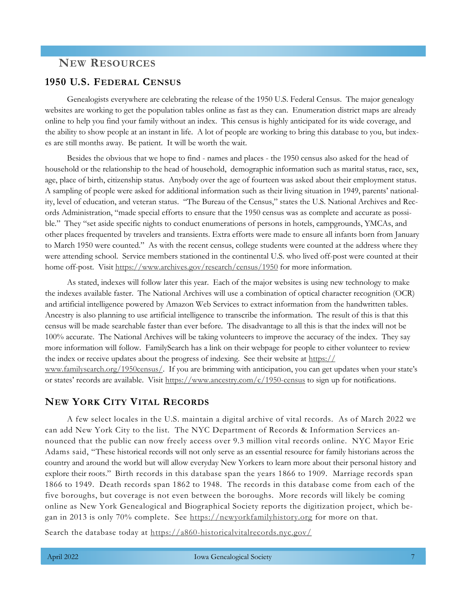## **NEW RESOURCES**

## **1950 U.S. FEDERAL CENSUS**

Genealogists everywhere are celebrating the release of the 1950 U.S. Federal Census. The major genealogy websites are working to get the population tables online as fast as they can. Enumeration district maps are already online to help you find your family without an index. This census is highly anticipated for its wide coverage, and the ability to show people at an instant in life. A lot of people are working to bring this database to you, but indexes are still months away. Be patient. It will be worth the wait.

Besides the obvious that we hope to find - names and places - the 1950 census also asked for the head of household or the relationship to the head of household, demographic information such as marital status, race, sex, age, place of birth, citizenship status. Anybody over the age of fourteen was asked about their employment status. A sampling of people were asked for additional information such as their living situation in 1949, parents' nationality, level of education, and veteran status. "The Bureau of the Census," states the U.S. National Archives and Records Administration, "made special efforts to ensure that the 1950 census was as complete and accurate as possible." They "set aside specific nights to conduct enumerations of persons in hotels, campgrounds, YMCAs, and other places frequented by travelers and transients. Extra efforts were made to ensure all infants born from January to March 1950 were counted." As with the recent census, college students were counted at the address where they were attending school. Service members stationed in the continental U.S. who lived off-post were counted at their home off-post. Visit<https://www.archives.gov/research/census/1950> for more information.

As stated, indexes will follow later this year. Each of the major websites is using new technology to make the indexes available faster. The National Archives will use a combination of optical character recognition (OCR) and artificial intelligence powered by Amazon Web Services to extract information from the handwritten tables. Ancestry is also planning to use artificial intelligence to transcribe the information. The result of this is that this census will be made searchable faster than ever before. The disadvantage to all this is that the index will not be 100% accurate. The National Archives will be taking volunteers to improve the accuracy of the index. They say more information will follow. FamilySearch has a link on their webpage for people to either volunteer to review the index or receive updates about the progress of indexing. See their website at [https://](https://www.familysearch.org/1950census/) [www.familysearch.org/1950census/](https://www.familysearch.org/1950census/). If you are brimming with anticipation, you can get updates when your state's or states' records are available. Visit <https://www.ancestry.com/c/1950-census> to sign up for notifications.

#### **NEW YORK CITY VITAL RECORDS**

A few select locales in the U.S. maintain a digital archive of vital records. As of March 2022 we can add New York City to the list. The NYC Department of Records & Information Services announced that the public can now freely access over 9.3 million vital records online. NYC Mayor Eric Adams said, "These historical records will not only serve as an essential resource for family historians across the country and around the world but will allow everyday New Yorkers to learn more about their personal history and explore their roots." Birth records in this database span the years 1866 to 1909. Marriage records span 1866 to 1949. Death records span 1862 to 1948. The records in this database come from each of the five boroughs, but coverage is not even between the boroughs. More records will likely be coming online as New York Genealogical and Biographical Society reports the digitization project, which began in 2013 is only 70% complete. See [https://newyorkfamilyhistory.org](https://newyorkfamilyhistory.org/blog/new-york-city-public-digitized-vital-records-now-online-free) for more on that.

Search the database today at <https://a860-historicalvitalrecords.nyc.gov/>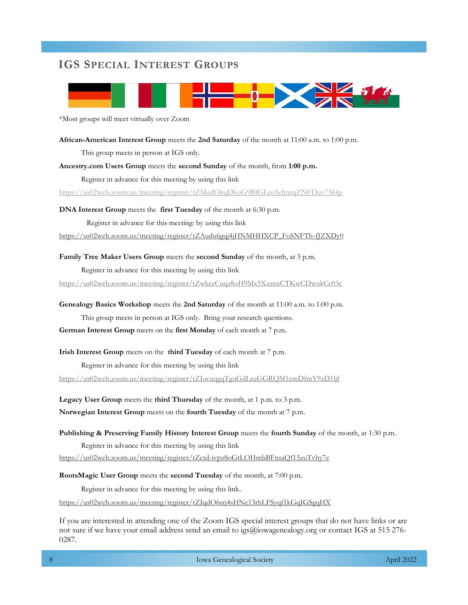## **IGS SPECIAL INTEREST GROUPS**



\*Most groups will meet virtually over Zoom

**African-American Interest Group** meets the **2nd Saturday** of the month at 11:00 a.m. to 1:00 p.m. This group meets in person at IGS only.

**Ancestry.com Users Group** meets the **second Sunday** of the month, from **1:00 p.m.** 

Register in advance for this meeting by using this link

<https://us02web.zoom.us/meeting/register/tZMudOitqDkoG9BfGLeo5elmzqZNFDuv7M4p>

**DNA Interest Group** meets the **first Tuesday** of the month at 6:30 p.m.

Register in advance for this meeting: by using this link

[https://us02web.zoom.us/meeting/register/tZAudu6gqj4jHNMHHXCP\\_FoSNFTh-fJZXDy0](https://us02web.zoom.us/meeting/register/tZAudu6gqj4jHNMHHXCP_FoSNFTh-fJZXDy0)

**Family Tree Maker Users Group** meets the **second Sunday** of the month, at 3 p.m.

Register in advance for this meeting by using this link

<https://us02web.zoom.us/meeting/register/tZwkceCuqz8oH9Mx5XzznxCTKwCDwukCc03c>

**Genealogy Basics Workshop** meets the **2nd Saturday** of the month at 11:00 a.m. to 1:00 p.m. This group meets in person at IGS only. Bring your research questions.

**German Interest Group** meets on the **first Monday** of each month at 7 p.m.

**Irish Interest Group** meets on the **third Tuesday** of each month at 7 p.m.

Register in advance for this meeting by using this link

<https://us02web.zoom.us/meeting/register/tZIocuqgqTguGdLruGGRQM1emDfmY9zD1ljf>

**Legacy User Group** meets the **third Thursday** of the month, at 1 p.m. to 3 p.m. **Norwegian Interest Group** meets on the **fourth Tuesday** of the month at 7 p.m.

**Publishing & Preserving Family History Interest Group** meets the **fourth Sunday** of the month, at 1:30 p.m.

Register in advance for this meeting by using this link

<https://us02web.zoom.us/meeting/register/tZctd-ivpz8oGtLOHmbBFnsaQf15zuTvhy7c>

**RootsMagic User Group** meets the **second Tuesday** of the month, at 7:00 p.m.

Register in advance for this meeting by using this link.

<https://us02web.zoom.us/meeting/register/tZIqdO6srj4sHNe13rhLFSyqf1kGqIGSgqHX>

If you are interested in attending one of the Zoom IGS special interest groups that do not have links or are not sure if we have your email address send an email to igs@iowagenealogy.org or contact IGS at 515 276- 0287.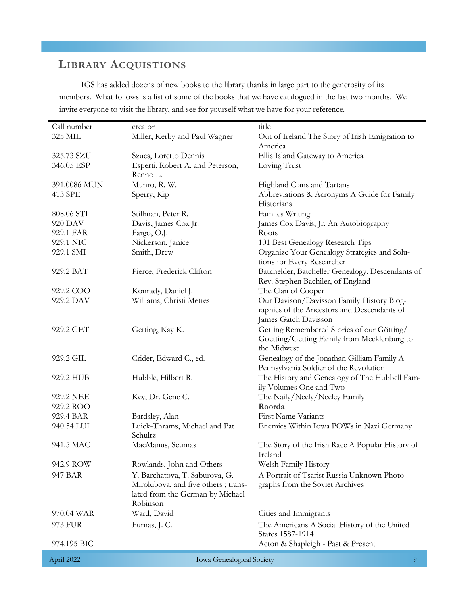## **LIBRARY ACQUISTIONS**

IGS has added dozens of new books to the library thanks in large part to the generosity of its members. What follows is a list of some of the books that we have catalogued in the last two months. We invite everyone to visit the library, and see for yourself what we have for your reference.

| Call number  | creator                             | title                                                     |
|--------------|-------------------------------------|-----------------------------------------------------------|
| 325 MIL      | Miller, Kerby and Paul Wagner       | Out of Ireland The Story of Irish Emigration to           |
|              |                                     | America                                                   |
| 325.73 SZU   | Szucs, Loretto Dennis               | Ellis Island Gateway to America                           |
| 346.05 ESP   | Esperti, Robert A. and Peterson,    |                                                           |
|              | Renno L.                            | Loving Trust                                              |
| 391.0086 MUN | Munro, R. W.                        | Highland Clans and Tartans                                |
| 413 SPE      | Sperry, Kip                         | Abbreviations & Acronyms A Guide for Family<br>Historians |
| 808.06 STI   | Stillman, Peter R.                  | Famlies Writing                                           |
| 920 DAV      | Davis, James Cox Jr.                | James Cox Davis, Jr. An Autobiography                     |
| 929.1 FAR    | Fargo, O.J.                         | Roots                                                     |
| 929.1 NIC    | Nickerson, Janice                   | 101 Best Genealogy Research Tips                          |
| 929.1 SMI    | Smith, Drew                         | Organize Your Genealogy Strategies and Solu-              |
|              |                                     | tions for Every Researcher                                |
| 929.2 BAT    | Pierce, Frederick Clifton           | Batchelder, Batcheller Genealogy. Descendants of          |
|              |                                     | Rev. Stephen Bachiler, of England                         |
| 929.2 COO    | Konrady, Daniel J.                  | The Clan of Cooper                                        |
| 929.2 DAV    | Williams, Christi Mettes            | Our Davison/Davisson Family History Biog-                 |
|              |                                     | raphies of the Ancestors and Descendants of               |
|              |                                     | James Gatch Davisson                                      |
| 929.2 GET    | Getting, Kay K.                     | Getting Remembered Stories of our Götting/                |
|              |                                     | Goetting/Getting Family from Mecklenburg to               |
|              |                                     | the Midwest                                               |
| 929.2 GIL    | Crider, Edward C., ed.              | Genealogy of the Jonathan Gilliam Family A                |
|              |                                     | Pennsylvania Soldier of the Revolution                    |
| 929.2 HUB    | Hubble, Hilbert R.                  | The History and Genealogy of The Hubbell Fam-             |
|              |                                     | ily Volumes One and Two                                   |
| 929.2 NEE    | Key, Dr. Gene C.                    | The Naily/Neely/Neeley Family                             |
| 929.2 ROO    |                                     | Roorda                                                    |
| 929.4 BAR    | Bardsley, Alan                      | <b>First Name Variants</b>                                |
| 940.54 LUI   | Luick-Thrams, Michael and Pat       | Enemies Within Iowa POWs in Nazi Germany                  |
|              | Schultz                             |                                                           |
| 941.5 MAC    | MacManus, Seumas                    | The Story of the Irish Race A Popular History of          |
|              |                                     | Ireland                                                   |
| 942.9 ROW    | Rowlands, John and Others           | Welsh Family History                                      |
| 947 BAR      | Y. Barchatova, T. Saburova, G.      | A Portrait of Tsarist Russia Unknown Photo-               |
|              | Mirolubova, and five others; trans- | graphs from the Soviet Archives                           |
|              | lated from the German by Michael    |                                                           |
|              | Robinson                            |                                                           |
| 970.04 WAR   | Ward, David                         | Cities and Immigrants                                     |
| 973 FUR      | Furnas, J. C.                       | The Americans A Social History of the United              |
|              |                                     | States 1587-1914                                          |
| 974.195 BIC  |                                     | Acton & Shapleigh - Past & Present                        |
|              |                                     |                                                           |

April 2022 Iowa Genealogical Society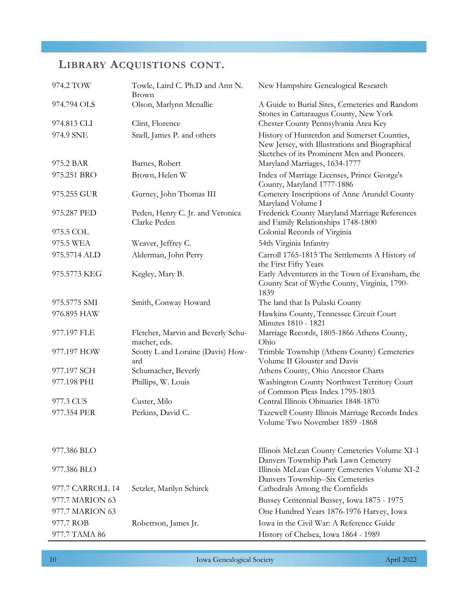## **LIBRARY ACQUISTIONS CONT.**

| 974.2 TOW        | Towle, Laird C. Ph.D and Ann N.<br>Brown           | New Hampshire Genealogical Research                                                                                                           |
|------------------|----------------------------------------------------|-----------------------------------------------------------------------------------------------------------------------------------------------|
| 974.794 OLS      | Olson, Marlynn Mcnallie                            | A Guide to Burial Sites, Cemeteries and Random<br>Stones in Cattaraugus County, New York                                                      |
| 974.813 CLI      | Clint, Florence                                    | Chester County Pennsylvania Area Key                                                                                                          |
| 974.9 SNE        | Snell, James P. and others                         | History of Hunterdon and Somerset Counties,<br>New Jersey, with Illustrations and Biographical<br>Sketches of its Prominent Men and Pioneers. |
| 975.2 BAR        | Barnes, Robert                                     | Maryland Marriages, 1634-1777                                                                                                                 |
| 975.251 BRO      | Brown, Helen W                                     | Index of Marriage Licenses, Prince George's<br>County, Maryland 1777-1886                                                                     |
| 975.255 GUR      | Gurney, John Thomas III                            | Cemetery Inscriptions of Anne Arundel County<br>Maryland Volume I                                                                             |
| 975.287 PED      | Peden, Henry C. Jr. and Veronica<br>Clarke Peden   | Frederick County Maryland Marriage References<br>and Family Relationships 1748-1800                                                           |
| 975.5 COL        |                                                    | Colonial Records of Virginia                                                                                                                  |
| 975.5 WEA        | Weaver, Jeffrey C.                                 | 54th Virginia Infantry                                                                                                                        |
| 975.5714 ALD     | Alderman, John Perry                               | Carroll 1765-1815 The Settlements A History of<br>the First Fifty Years                                                                       |
| 975.5773 KEG     | Kegley, Mary B.                                    | Early Adventurers in the Town of Evansham, the<br>County Seat of Wythe County, Virginia, 1790-<br>1839                                        |
| 975.5775 SMI     | Smith, Conway Howard                               | The land that Is Pulaski County                                                                                                               |
| 976.895 HAW      |                                                    | Hawkins County, Tennessee Circuit Court<br>Minutes 1810 - 1821                                                                                |
| 977.197 FLE      | Fletcher, Marvin and Beverly Schu-<br>macher, eds. | Marriage Records, 1805-1866 Athens County,<br>Ohio                                                                                            |
| 977.197 HOW      | Scotty L and Loraine (Davis) How-<br>ard           | Trimble Township (Athens County) Cemeteries<br>Volume II Glouster and Davis                                                                   |
| 977.197 SCH      | Schumacher, Beverly                                | Athens County, Ohio Ancestor Charts                                                                                                           |
| 977.198 PHI      | Phillips, W. Louis                                 | Washington County Northwest Territory Court<br>of Common Pleas Index 1795-1803                                                                |
| 977.3 CUS        | Custer, Milo                                       | Central Illinois Obituaries 1848-1870                                                                                                         |
| 977.354 PER      | Perkins, David C.                                  | Tazewell County Illinois Marriage Records Index<br>Volume Two November 1859 -1868                                                             |
| 977.386 BLO      |                                                    | Illinois McLean County Cemeteries Volume XI-1<br>Danvers Township Park Lawn Cemetery                                                          |
| 977.386 BLO      |                                                    | Illinois McLean County Cemeteries Volume XI-2<br>Danvers Township--Six Cemeteries                                                             |
| 977.7 CARROLL 14 | Setzler, Marilyn Schirck                           | Cathedrals Among the Cornfields                                                                                                               |
| 977.7 MARION 63  |                                                    | Bussey Centennial Bussey, Iowa 1875 - 1975                                                                                                    |
| 977.7 MARION 63  |                                                    | One Hundred Years 1876-1976 Harvey, Iowa                                                                                                      |
| 977.7 ROB        | Robertson, James Jr.                               | Iowa in the Civil War: A Reference Guide                                                                                                      |
| 977.7 TAMA 86    |                                                    | History of Chelsea, Iowa 1864 - 1989                                                                                                          |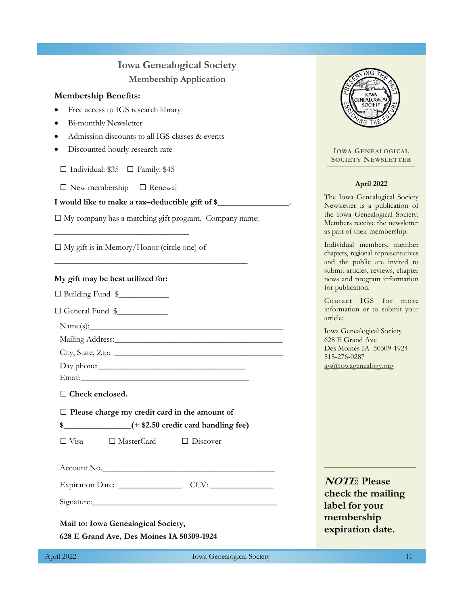# **Iowa Genealogical Society**

## **Membership Application**

### **Membership Benefits:**

- Free access to IGS research library
- Bi-monthly Newsletter
- Admission discounts to all IGS classes & events
- Discounted hourly research rate

□ Individual: \$35 □ Family: \$45

 $\square$  New membership  $\square$  Renewal

## **I would like to make a tax–deductible gift of \$\_\_\_\_\_\_\_\_\_\_\_\_\_\_\_\_\_.**

□ My company has a matching gift program. Company name:

\_\_\_\_\_\_\_\_\_\_\_\_\_\_\_\_\_\_\_\_\_\_\_\_\_\_\_\_\_\_\_\_\_\_\_\_\_\_\_\_\_\_\_\_\_\_

 $\square$  My gift is in Memory/Honor (circle one) of

\_\_\_\_\_\_\_\_\_\_\_\_\_\_\_\_\_\_\_\_\_\_\_\_\_\_\_\_\_\_\_\_

#### **My gift may be best utilized for:**

□ Building Fund \$\_\_\_\_\_\_\_\_\_\_\_\_

□ General Fund \$\_\_\_\_\_\_\_\_\_\_\_\_

 $Name(s):$ 

Mailing Address:\_\_\_\_\_\_\_\_\_\_\_\_\_\_\_\_\_\_\_\_\_\_\_\_\_\_\_\_\_\_\_\_\_\_\_\_\_\_\_\_

 $City, State, Zip:$ Day phone:\_\_\_\_\_\_\_\_\_\_\_\_\_\_\_\_\_\_\_\_\_\_\_\_\_\_\_\_\_\_\_\_\_\_\_

Email:

**□ Check enclosed.** 

□ Please charge my credit card in the amount of

**\$\_\_\_\_\_\_\_\_\_\_\_\_\_\_\_\_(+ \$2.50 credit card handling fee)**

 $\square$  Visa  $\square$  MasterCard  $\square$  Discover

Account No.

Expiration Date: \_\_\_\_\_\_\_\_\_\_\_\_\_\_\_ CCV: \_\_\_\_\_\_\_\_\_\_\_\_\_\_\_

Signature:

**Mail to: Iowa Genealogical Society, 628 E Grand Ave, Des Moines IA 50309-1924**



#### **IOWA GENEALOGICAL SOCIETY NEWSLETTER**

#### **April 2022**

The Iowa Genealogical Society Newsletter is a publication of the Iowa Genealogical Society. Members receive the newsletter as part of their membership.

Individual members, member chapters, regional representatives and the public are invited to submit articles, reviews, chapter news and program information for publication.

Contact IGS for more information or to submit your article:

Iowa Genealogical Society 628 E Grand Ave Des Moines IA 50309-1924 515-276-0287 [igs@iowagenealogy.org](mailto:igs@iowagenealogy.org)

**NOTE**: **Please check the mailing label for your membership expiration date.**